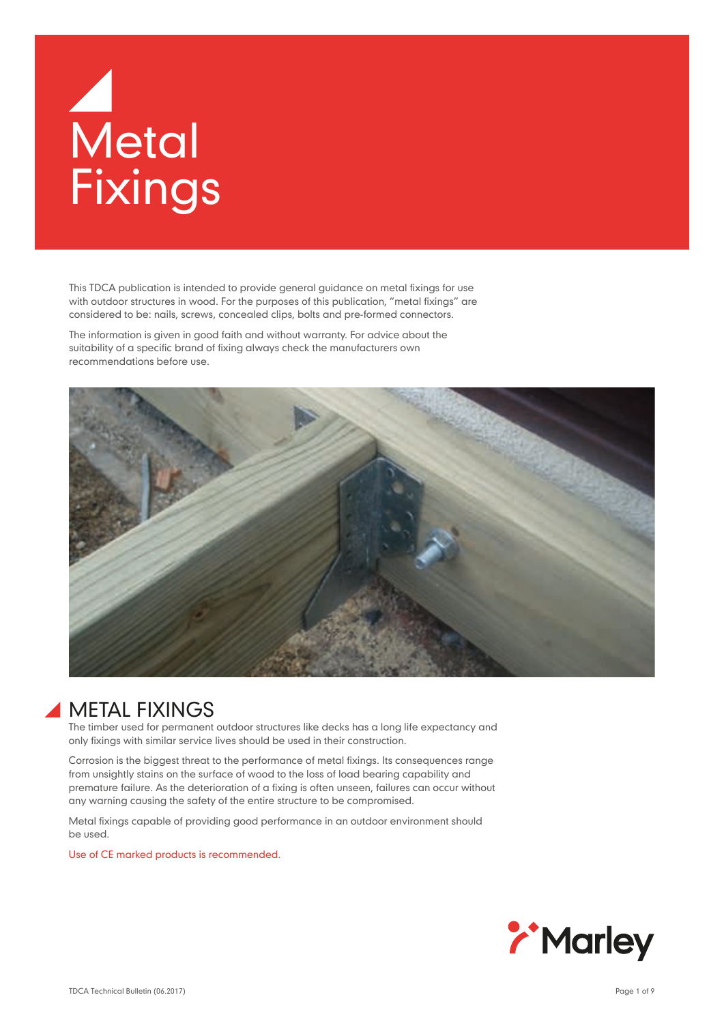# **Metal** Fixings

This TDCA publication is intended to provide general guidance on metal fixings for use with outdoor structures in wood. For the purposes of this publication, "metal fixings" are considered to be: nails, screws, concealed clips, bolts and pre-formed connectors.

The information is given in good faith and without warranty. For advice about the suitability of a specific brand of fixing always check the manufacturers own recommendations before use.



# METAL FIXINGS

The timber used for permanent outdoor structures like decks has a long life expectancy and only fixings with similar service lives should be used in their construction.

Corrosion is the biggest threat to the performance of metal fixings. Its consequences range from unsightly stains on the surface of wood to the loss of load bearing capability and premature failure. As the deterioration of a fixing is often unseen, failures can occur without any warning causing the safety of the entire structure to be compromised.

Metal fixings capable of providing good performance in an outdoor environment should be used.

Use of CE marked products is recommended.

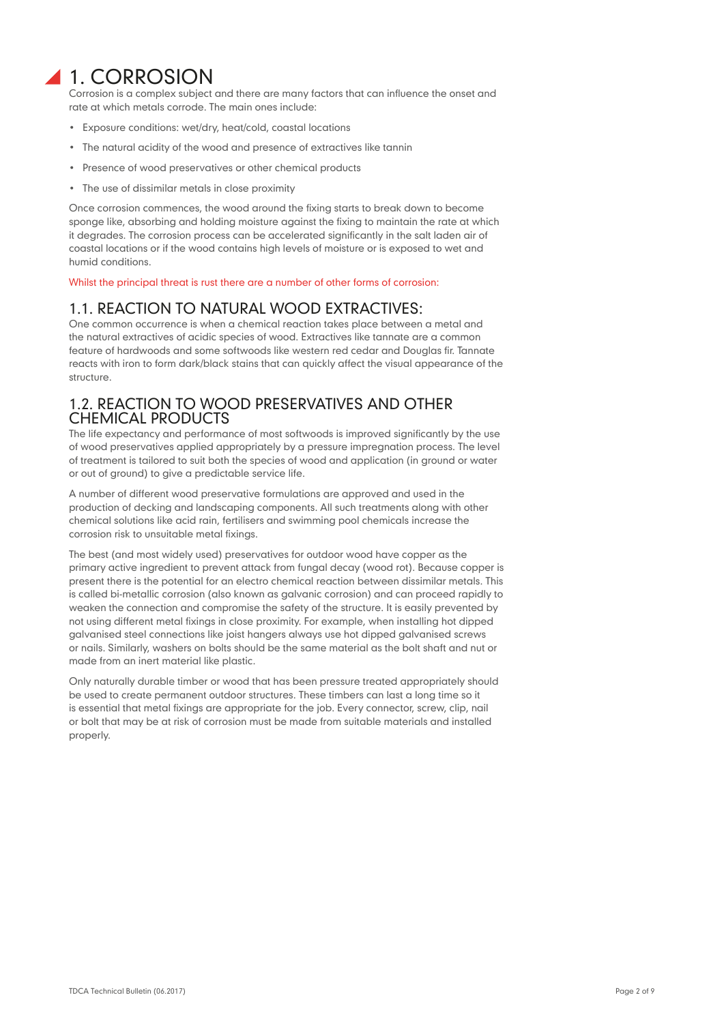# 1. CORROSION

Corrosion is a complex subject and there are many factors that can influence the onset and rate at which metals corrode. The main ones include:

- Exposure conditions: wet/dry, heat/cold, coastal locations
- The natural acidity of the wood and presence of extractives like tannin
- Presence of wood preservatives or other chemical products
- The use of dissimilar metals in close proximity

Once corrosion commences, the wood around the fixing starts to break down to become sponge like, absorbing and holding moisture against the fixing to maintain the rate at which it degrades. The corrosion process can be accelerated significantly in the salt laden air of coastal locations or if the wood contains high levels of moisture or is exposed to wet and humid conditions.

Whilst the principal threat is rust there are a number of other forms of corrosion:

# 1.1. REACTION TO NATURAL WOOD EXTRACTIVES:

One common occurrence is when a chemical reaction takes place between a metal and the natural extractives of acidic species of wood. Extractives like tannate are a common feature of hardwoods and some softwoods like western red cedar and Douglas fir. Tannate reacts with iron to form dark/black stains that can quickly affect the visual appearance of the structure.

### 1.2. REACTION TO WOOD PRESERVATIVES AND OTHER CHEMICAL PRODUCTS

The life expectancy and performance of most softwoods is improved significantly by the use of wood preservatives applied appropriately by a pressure impregnation process. The level of treatment is tailored to suit both the species of wood and application (in ground or water or out of ground) to give a predictable service life.

A number of different wood preservative formulations are approved and used in the production of decking and landscaping components. All such treatments along with other chemical solutions like acid rain, fertilisers and swimming pool chemicals increase the corrosion risk to unsuitable metal fixings.

The best (and most widely used) preservatives for outdoor wood have copper as the primary active ingredient to prevent attack from fungal decay (wood rot). Because copper is present there is the potential for an electro chemical reaction between dissimilar metals. This is called bi-metallic corrosion (also known as galvanic corrosion) and can proceed rapidly to weaken the connection and compromise the safety of the structure. It is easily prevented by not using different metal fixings in close proximity. For example, when installing hot dipped galvanised steel connections like joist hangers always use hot dipped galvanised screws or nails. Similarly, washers on bolts should be the same material as the bolt shaft and nut or made from an inert material like plastic.

Only naturally durable timber or wood that has been pressure treated appropriately should be used to create permanent outdoor structures. These timbers can last a long time so it is essential that metal fixings are appropriate for the job. Every connector, screw, clip, nail or bolt that may be at risk of corrosion must be made from suitable materials and installed properly.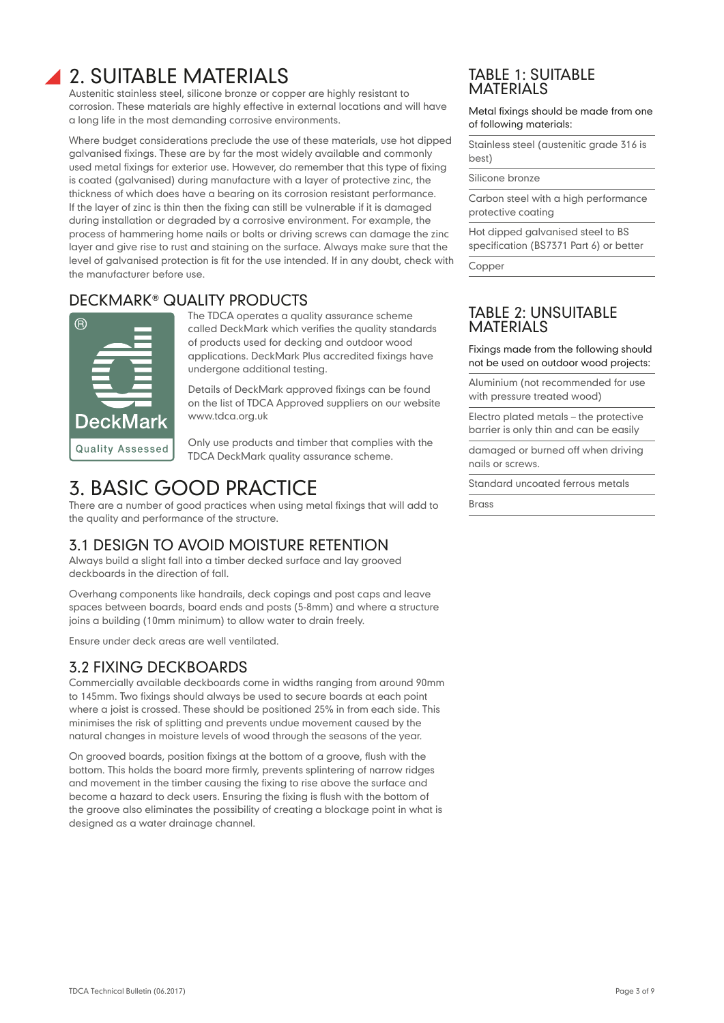# 2. SUITABLE MATERIALS

Austenitic stainless steel, silicone bronze or copper are highly resistant to corrosion. These materials are highly effective in external locations and will have a long life in the most demanding corrosive environments.

Where budget considerations preclude the use of these materials, use hot dipped galvanised fixings. These are by far the most widely available and commonly used metal fixings for exterior use. However, do remember that this type of fixing is coated (galvanised) during manufacture with a layer of protective zinc, the thickness of which does have a bearing on its corrosion resistant performance. If the layer of zinc is thin then the fixing can still be vulnerable if it is damaged during installation or degraded by a corrosive environment. For example, the process of hammering home nails or bolts or driving screws can damage the zinc layer and give rise to rust and staining on the surface. Always make sure that the level of galvanised protection is fit for the use intended. If in any doubt, check with the manufacturer before use.

# DECKMARK® QUALITY PRODUCTS



The TDCA operates a quality assurance scheme called DeckMark which verifies the quality standards of products used for decking and outdoor wood applications. DeckMark Plus accredited fixings have undergone additional testing.

Details of DeckMark approved fixings can be found on the list of TDCA Approved suppliers on our website www.tdca.org.uk

Only use products and timber that complies with the TDCA DeckMark quality assurance scheme.

# 3. BASIC GOOD PRACTICE

There are a number of good practices when using metal fixings that will add to the quality and performance of the structure.

# 3.1 DESIGN TO AVOID MOISTURE RETENTION

Always build a slight fall into a timber decked surface and lay grooved deckboards in the direction of fall.

Overhang components like handrails, deck copings and post caps and leave spaces between boards, board ends and posts (5-8mm) and where a structure joins a building (10mm minimum) to allow water to drain freely.

Ensure under deck areas are well ventilated.

# 3.2 FIXING DECKBOARDS

Commercially available deckboards come in widths ranging from around 90mm to 145mm. Two fixings should always be used to secure boards at each point where a joist is crossed. These should be positioned 25% in from each side. This minimises the risk of splitting and prevents undue movement caused by the natural changes in moisture levels of wood through the seasons of the year.

On grooved boards, position fixings at the bottom of a groove, flush with the bottom. This holds the board more firmly, prevents splintering of narrow ridges and movement in the timber causing the fixing to rise above the surface and become a hazard to deck users. Ensuring the fixing is flush with the bottom of the groove also eliminates the possibility of creating a blockage point in what is designed as a water drainage channel.

### TABLE 1: SUITABLE **MATERIALS**

Metal fixings should be made from one of following materials:

Stainless steel (austenitic grade 316 is best)

Silicone bronze

Carbon steel with a high performance protective coating

Hot dipped galvanised steel to BS specification (BS7371 Part 6) or better

Copper

# TABLE 2: UNSUITABLE **MATERIALS**

Fixings made from the following should not be used on outdoor wood projects:

Aluminium (not recommended for use with pressure treated wood)

Electro plated metals – the protective barrier is only thin and can be easily

damaged or burned off when driving nails or screws.

Standard uncoated ferrous metals

Brass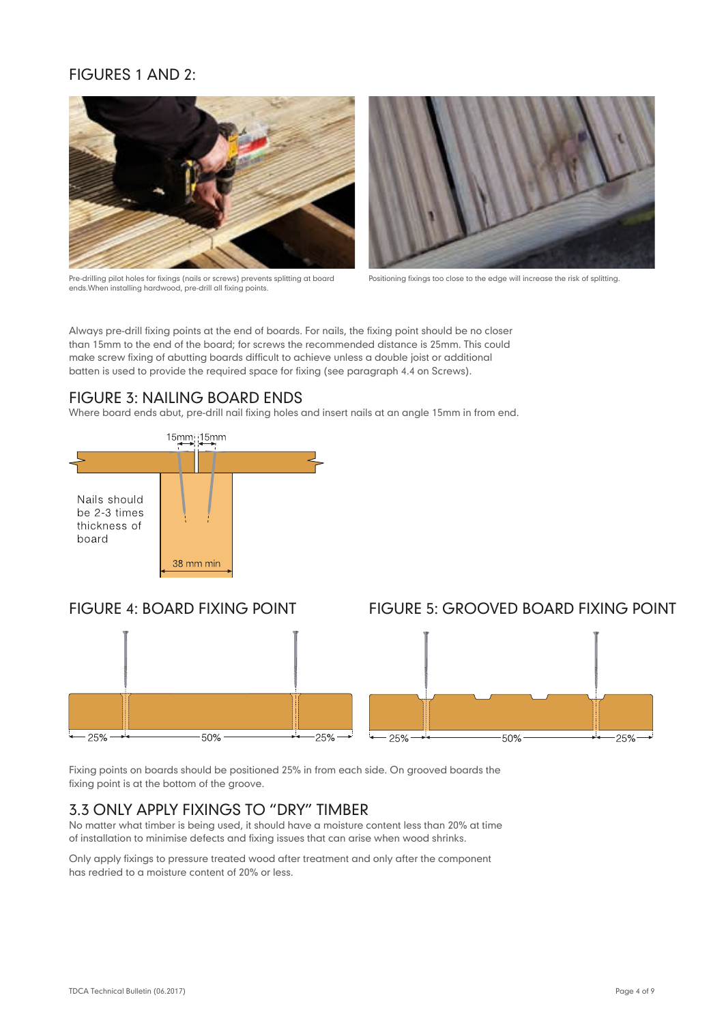# FIGURES 1 AND 2:



Pre-drilling pilot holes for fixings (nails or screws) prevents splitting at board ends.When installing hardwood, pre-drill all fixing points.



Positioning fixings too close to the edge will increase the risk of splitting.

Always pre-drill fixing points at the end of boards. For nails, the fixing point should be no closer than 15mm to the end of the board; for screws the recommended distance is 25mm. This could make screw fixing of abutting boards difficult to achieve unless a double joist or additional batten is used to provide the required space for fixing (see paragraph 4.4 on Screws).

# FIGURE 3: NAILING BOARD ENDS

Where board ends abut, pre-drill nail fixing holes and insert nails at an angle 15mm in from end.



# FIGURE 4: BOARD FIXING POINT FIGURE 5: GROOVED BOARD FIXING POINT



Fixing points on boards should be positioned 25% in from each side. On grooved boards the fixing point is at the bottom of the groove.

# 3.3 ONLY APPLY FIXINGS TO "DRY" TIMBER

No matter what timber is being used, it should have a moisture content less than 20% at time of installation to minimise defects and fixing issues that can arise when wood shrinks.

Only apply fixings to pressure treated wood after treatment and only after the component has redried to a moisture content of 20% or less.

### TDCA Technical Bulletin (06.2017) Page 4 of 9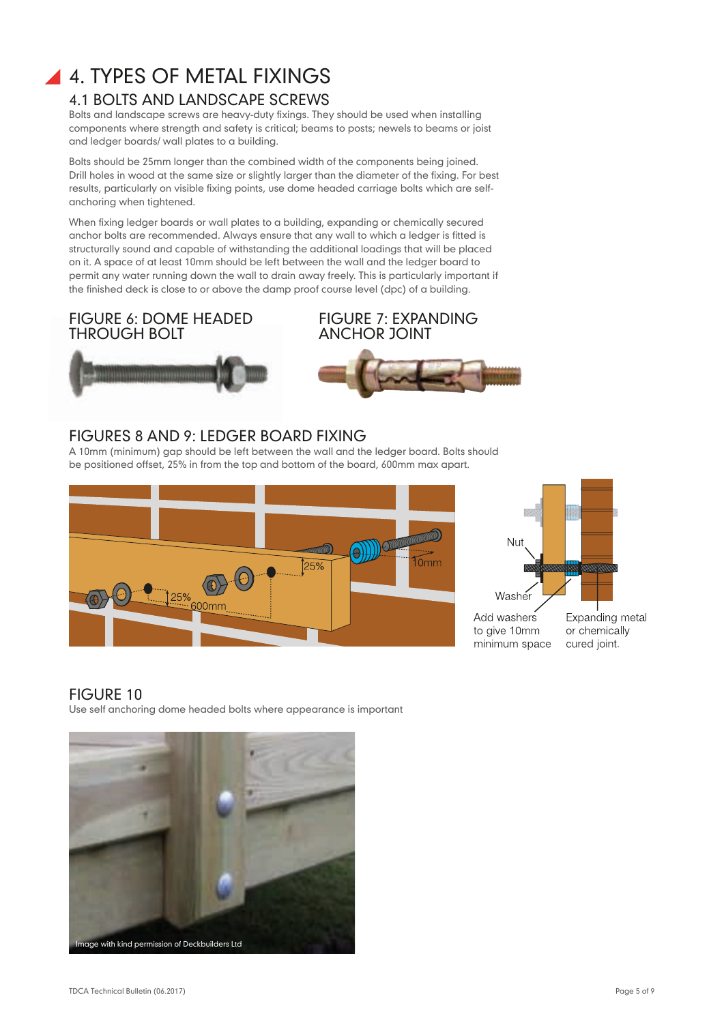# **4. TYPES OF METAL FIXINGS** 4.1 BOLTS AND LANDSCAPE SCREWS

Bolts and landscape screws are heavy-duty fixings. They should be used when installing components where strength and safety is critical; beams to posts; newels to beams or joist and ledger boards/ wall plates to a building.

Bolts should be 25mm longer than the combined width of the components being joined. Drill holes in wood at the same size or slightly larger than the diameter of the fixing. For best results, particularly on visible fixing points, use dome headed carriage bolts which are selfanchoring when tightened.

When fixing ledger boards or wall plates to a building, expanding or chemically secured anchor bolts are recommended. Always ensure that any wall to which a ledger is fitted is structurally sound and capable of withstanding the additional loadings that will be placed on it. A space of at least 10mm should be left between the wall and the ledger board to permit any water running down the wall to drain away freely. This is particularly important if the finished deck is close to or above the damp proof course level (dpc) of a building.



FIGURE 6: DOME HEADED



# FIGURES 8 AND 9: LEDGER BOARD FIXING

A 10mm (minimum) gap should be left between the wall and the ledger board. Bolts should be positioned offset, 25% in from the top and bottom of the board, 600mm max apart.





# FIGURE 10

Use self anchoring dome headed bolts where appearance is important

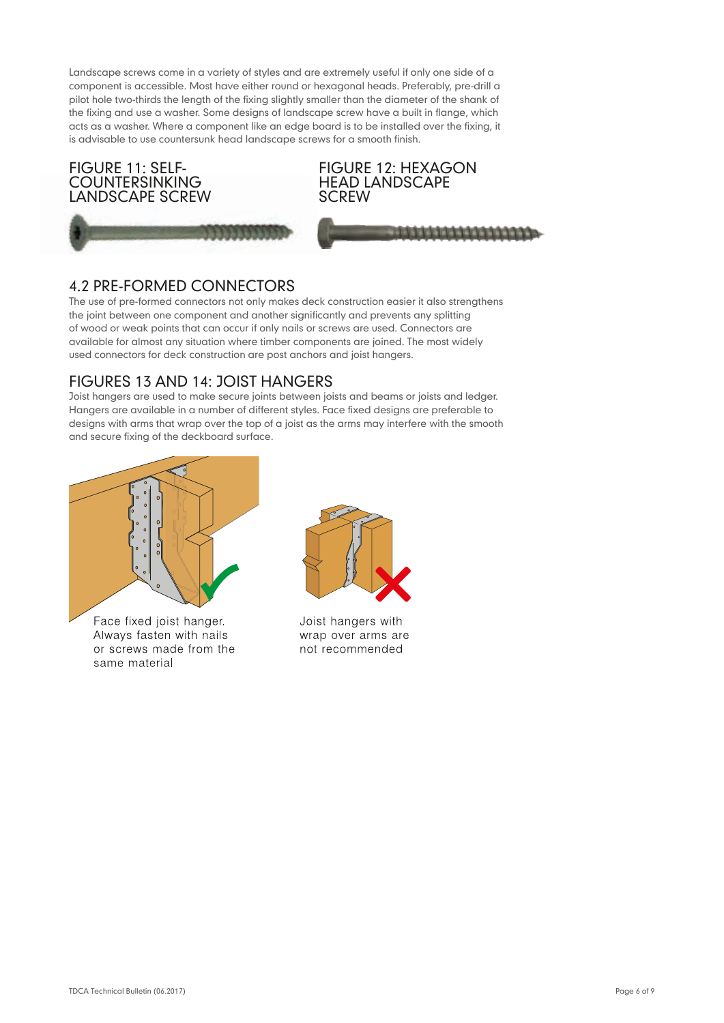Landscape screws come in a variety of styles and are extremely useful if only one side of a component is accessible. Most have either round or hexagonal heads. Preferably, pre-drill a pilot hole two-thirds the length of the fixing slightly smaller than the diameter of the shank of the fixing and use a washer. Some designs of landscape screw have a built in flange, which acts as a washer. Where a component like an edge board is to be installed over the fixing, it is advisable to use countersunk head landscape screws for a smooth finish.



# 4.2 PRE-FORMED CONNECTORS

The use of pre-formed connectors not only makes deck construction easier it also strengthens the joint between one component and another significantly and prevents any splitting of wood or weak points that can occur if only nails or screws are used. Connectors are available for almost any situation where timber components are joined. The most widely used connectors for deck construction are post anchors and joist hangers.

# FIGURES 13 AND 14: JOIST HANGERS

Joist hangers are used to make secure joints between joists and beams or joists and ledger. Hangers are available in a number of different styles. Face fixed designs are preferable to designs with arms that wrap over the top of a joist as the arms may interfere with the smooth and secure fixing of the deckboard surface.



Face fixed joist hanger. Always fasten with nails or screws made from the same material



Joist hangers with wrap over arms are not recommended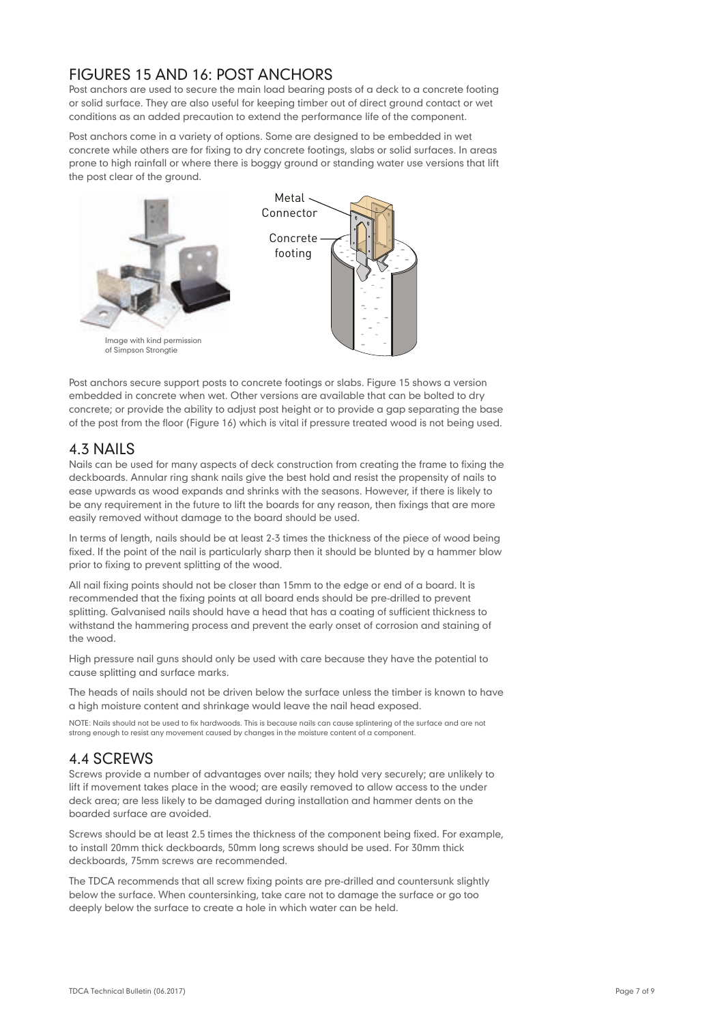# FIGURES 15 AND 16: POST ANCHORS

Post anchors are used to secure the main load bearing posts of a deck to a concrete footing or solid surface. They are also useful for keeping timber out of direct ground contact or wet conditions as an added precaution to extend the performance life of the component.

Post anchors come in a variety of options. Some are designed to be embedded in wet concrete while others are for fixing to dry concrete footings, slabs or solid surfaces. In areas prone to high rainfall or where there is boggy ground or standing water use versions that lift the post clear of the ground.



Post anchors secure support posts to concrete footings or slabs. Figure 15 shows a version embedded in concrete when wet. Other versions are available that can be bolted to dry concrete; or provide the ability to adjust post height or to provide a gap separating the base of the post from the floor (Figure 16) which is vital if pressure treated wood is not being used.

# 4.3 NAILS

Nails can be used for many aspects of deck construction from creating the frame to fixing the deckboards. Annular ring shank nails give the best hold and resist the propensity of nails to ease upwards as wood expands and shrinks with the seasons. However, if there is likely to be any requirement in the future to lift the boards for any reason, then fixings that are more easily removed without damage to the board should be used.

In terms of length, nails should be at least 2-3 times the thickness of the piece of wood being fixed. If the point of the nail is particularly sharp then it should be blunted by a hammer blow prior to fixing to prevent splitting of the wood.

All nail fixing points should not be closer than 15mm to the edge or end of a board. It is recommended that the fixing points at all board ends should be pre-drilled to prevent splitting. Galvanised nails should have a head that has a coating of sufficient thickness to withstand the hammering process and prevent the early onset of corrosion and staining of the wood.

High pressure nail guns should only be used with care because they have the potential to cause splitting and surface marks.

The heads of nails should not be driven below the surface unless the timber is known to have a high moisture content and shrinkage would leave the nail head exposed.

NOTE: Nails should not be used to fix hardwoods. This is because nails can cause splintering of the surface and are not strong enough to resist any movement caused by changes in the moisture content of a component.

# 4.4 SCREWS

Screws provide a number of advantages over nails; they hold very securely; are unlikely to lift if movement takes place in the wood; are easily removed to allow access to the under deck area; are less likely to be damaged during installation and hammer dents on the boarded surface are avoided.

Screws should be at least 2.5 times the thickness of the component being fixed. For example, to install 20mm thick deckboards, 50mm long screws should be used. For 30mm thick deckboards, 75mm screws are recommended.

The TDCA recommends that all screw fixing points are pre-drilled and countersunk slightly below the surface. When countersinking, take care not to damage the surface or go too deeply below the surface to create a hole in which water can be held.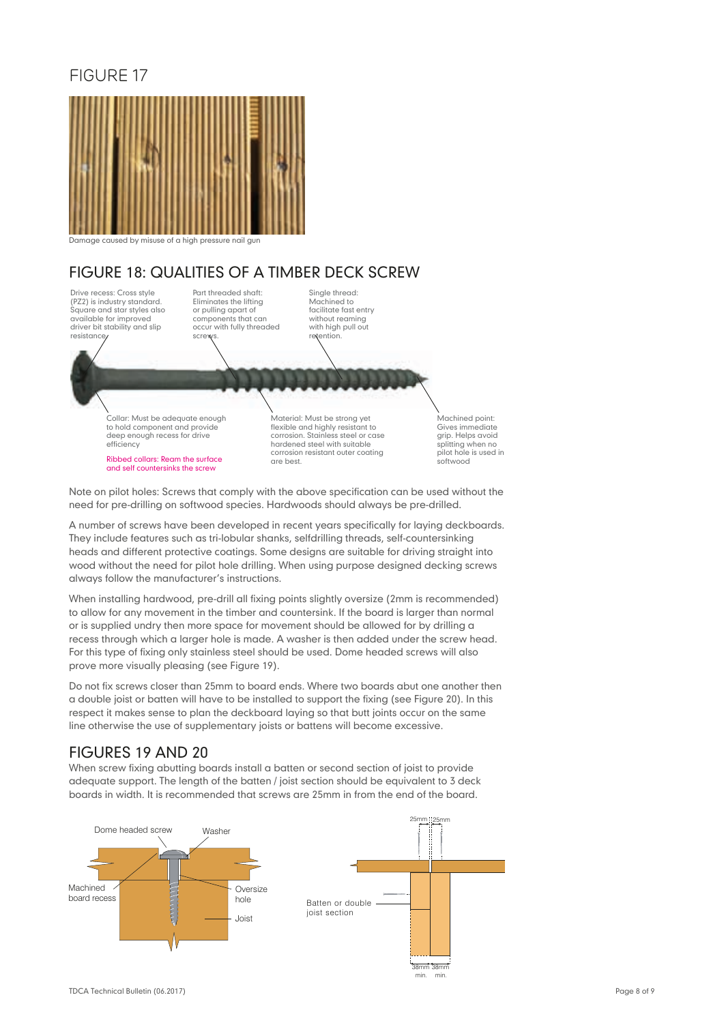# FIGURE 17



Damage caused by misuse of a high pressure nail gun

# FIGURE 18: QUALITIES OF A TIMBER DECK SCREW

Drive recess: Cross style (PZ2) is industry standard. Square and star styles also available for improved driver bit stability and slip resistance.

Part threaded shaft: Eliminates the lifting or pulling apart of components that can occur with fully threaded screw

Single thread: Machined to facilitate fast entry without reaming with high pull out retention.

Collar: Must be adequate enough to hold component and provide deep enough recess for drive efficiency

Ribbed collars: Ream the surface and self countersinks the screw

Material: Must be strong yet flexible and highly resistant to corrosion. Stainless steel or case hardened steel with suitable corrosion resistant outer coating are best.

Machined point: Gives immediate grip. Helps avoid splitting when no pilot hole is used in softwood

Note on pilot holes: Screws that comply with the above specification can be used without the need for pre-drilling on softwood species. Hardwoods should always be pre-drilled.

A number of screws have been developed in recent years specifically for laying deckboards. They include features such as tri-lobular shanks, selfdrilling threads, self-countersinking heads and different protective coatings. Some designs are suitable for driving straight into wood without the need for pilot hole drilling. When using purpose designed decking screws always follow the manufacturer's instructions.

When installing hardwood, pre-drill all fixing points slightly oversize (2mm is recommended) to allow for any movement in the timber and countersink. If the board is larger than normal or is supplied undry then more space for movement should be allowed for by drilling a recess through which a larger hole is made. A washer is then added under the screw head. For this type of fixing only stainless steel should be used. Dome headed screws will also prove more visually pleasing (see Figure 19).

Do not fix screws closer than 25mm to board ends. Where two boards abut one another then a double joist or batten will have to be installed to support the fixing (see Figure 20). In this respect it makes sense to plan the deckboard laying so that butt joints occur on the same line otherwise the use of supplementary joists or battens will become excessive.<br>'

# FIGURES 19 AND 20

when screw fixing abutting boards install a batten or second section of joist to provide adequate support. The length of the batten / joist section should be equivalent to 3 deck boards in width. It is recommended that screws are 25mm in from the end of the board.